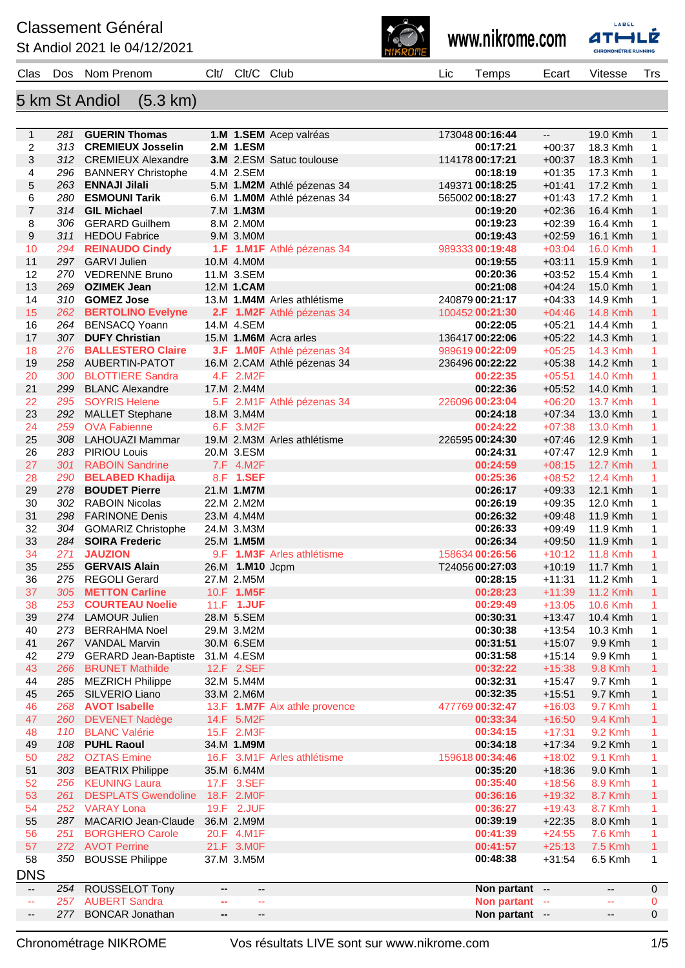## **Classement Général**

St Andiol 2021 le 04/12/2021



www.nikrome.com



| Clas                     | Dos        | Nom Prenom                                      | Clt/    | Clt/C Club                     |                               | Lic | Temps                            | Ecart                | Vitesse                        | <b>Trs</b>        |
|--------------------------|------------|-------------------------------------------------|---------|--------------------------------|-------------------------------|-----|----------------------------------|----------------------|--------------------------------|-------------------|
|                          |            |                                                 |         |                                |                               |     |                                  |                      |                                |                   |
|                          |            | 5 km St Andiol<br>$(5.3 \text{ km})$            |         |                                |                               |     |                                  |                      |                                |                   |
|                          |            |                                                 |         |                                |                               |     |                                  |                      |                                |                   |
| $\mathbf{1}$             |            | 281 GUERIN Thomas                               |         |                                | 1.M 1.SEM Acep valréas        |     | 173048 00:16:44                  | −−                   | 19.0 Kmh                       | 1                 |
| 2<br>3                   |            | 313 CREMIEUX Josselin<br>312 CREMIEUX Alexandre |         | 2.M 1.ESM                      | 3.M 2.ESM Satuc toulouse      |     | 00:17:21<br>114178 00:17:21      | $+00:37$<br>$+00:37$ | 18.3 Kmh<br>18.3 Kmh           | 1<br>$\mathbf{1}$ |
| 4                        | 296        | <b>BANNERY Christophe</b>                       |         | 4.M 2.SEM                      |                               |     | 00:18:19                         | $+01:35$             | 17.3 Kmh                       | 1                 |
| 5                        | 263        | <b>ENNAJI Jilali</b>                            |         |                                | 5.M 1.M2M Athlé pézenas 34    |     | 149371 00:18:25                  | $+01:41$             | 17.2 Kmh                       | 1                 |
| 6                        | 280        | <b>ESMOUNI Tarik</b>                            |         |                                | 6.M 1.MOM Athlé pézenas 34    |     | 565002 00:18:27                  | $+01:43$             | 17.2 Kmh                       | 1                 |
| $\overline{7}$           |            | 314 GIL Michael                                 |         | 7.M 1.M3M                      |                               |     | 00:19:20                         | $+02:36$             | 16.4 Kmh                       | $\mathbf{1}$      |
| 8                        | 306        | <b>GERARD Guilhem</b>                           |         | 8.M 2.M0M                      |                               |     | 00:19:23                         | $+02:39$             | 16.4 Kmh                       | 1                 |
| 9                        | 311        | <b>HEDOU Fabrice</b>                            |         | 9.M 3.M0M                      |                               |     | 00:19:43                         | $+02:59$             | 16.1 Kmh                       | 1                 |
| 10                       | 294        | <b>REINAUDO Cindy</b>                           |         |                                | 1.F 1.M1F Athlé pézenas 34    |     | 989333 00:19:48                  | $+03:04$             | 16.0 Kmh                       | 1                 |
| 11                       |            | 297 GARVI Julien                                |         | 10.M 4.M0M                     |                               |     | 00:19:55                         | $+03:11$             | 15.9 Kmh                       | $\mathbf{1}$      |
| 12<br>13                 | 269        | 270 VEDRENNE Bruno<br><b>OZIMEK Jean</b>        |         | 11.M 3.SEM<br>12.M 1.CAM       |                               |     | 00:20:36<br>00:21:08             | $+03:52$<br>$+04:24$ | 15.4 Kmh<br>15.0 Kmh           | 1<br>$\mathbf{1}$ |
| 14                       |            | 310 GOMEZ Jose                                  |         |                                | 13.M 1.M4M Arles athlétisme   |     | 240879 00:21:17                  | $+04:33$             | 14.9 Kmh                       | 1                 |
| 15                       | 262        | <b>BERTOLINO Evelyne</b>                        |         |                                | 2.F 1.M2F Athlé pézenas 34    |     | 100452 00:21:30                  | $+04:46$             | 14.8 Kmh                       | $\mathbf{1}$      |
| 16                       | 264        | <b>BENSACQ Yoann</b>                            |         | 14.M 4.SEM                     |                               |     | 00:22:05                         | $+05:21$             | 14.4 Kmh                       | 1                 |
| 17                       |            | 307 DUFY Christian                              |         |                                | 15.M 1.M6M Acra arles         |     | 136417 00:22:06                  | $+05:22$             | 14.3 Kmh                       | 1                 |
| 18                       | 276        | <b>BALLESTERO Claire</b>                        |         |                                | 3.F 1.MOF Athlé pézenas 34    |     | 989619 00:22:09                  | $+05:25$             | 14.3 Kmh                       | 1                 |
| 19                       | 258        | AUBERTIN-PATOT                                  |         |                                | 16.M 2.CAM Athlé pézenas 34   |     | 236496 00:22:22                  | $+05:38$             | 14.2 Kmh                       | $\mathbf{1}$      |
| 20                       | 300        | <b>BLOTTIERE Sandra</b>                         |         | 4.F 2.M2F                      |                               |     | 00:22:35                         | $+05:51$             | 14.0 Kmh                       | 1                 |
| 21                       | 299        | <b>BLANC Alexandre</b>                          |         | 17.M 2.M4M                     |                               |     | 00:22:36                         | $+05:52$             | 14.0 Kmh                       | $\mathbf{1}$      |
| 22                       | 295        | <b>SOYRIS Helene</b>                            |         |                                | 5.F 2.M1F Athlé pézenas 34    |     | 226096 00:23:04                  | $+06:20$             | 13.7 Kmh                       | 1                 |
| 23<br>24                 | 292<br>259 | <b>MALLET Stephane</b><br><b>OVA Fabienne</b>   |         | 18.M 3.M4M<br>6.F 3.M2F        |                               |     | 00:24:18<br>00:24:22             | $+07:34$<br>$+07:38$ | 13.0 Kmh<br>13.0 Kmh           | 1<br>1            |
| 25                       | 308        | LAHOUAZI Mammar                                 |         |                                | 19.M 2.M3M Arles athlétisme   |     | 226595 00:24:30                  | $+07:46$             | 12.9 Kmh                       | $\mathbf{1}$      |
| 26                       | 283        | <b>PIRIOU Louis</b>                             |         | 20.M 3.ESM                     |                               |     | 00:24:31                         | $+07:47$             | 12.9 Kmh                       | 1                 |
| 27                       | 301        | <b>RABOIN Sandrine</b>                          |         | 7.F 4.M2F                      |                               |     | 00:24:59                         | $+08:15$             | <b>12.7 Kmh</b>                | $\mathbf{1}$      |
| 28                       | 290        | <b>BELABED Khadija</b>                          |         | 8.F 1.SEF                      |                               |     | 00:25:36                         | $+08:52$             | 12.4 Kmh                       | 1                 |
| 29                       | 278        | <b>BOUDET Pierre</b>                            |         | 21.M 1.M7M                     |                               |     | 00:26:17                         | $+09:33$             | 12.1 Kmh                       | 1                 |
| 30                       | 302        | <b>RABOIN Nicolas</b>                           |         | 22.M 2.M2M                     |                               |     | 00:26:19                         | $+09:35$             | 12.0 Kmh                       | 1                 |
| 31                       | 298        | <b>FARINONE Denis</b>                           |         | 23.M 4.M4M                     |                               |     | 00:26:32                         | $+09:48$             | 11.9 Kmh                       | 1                 |
| 32                       | 304        | <b>GOMARIZ Christophe</b>                       |         | 24.M 3.M3M                     |                               |     | 00:26:33                         | $+09:49$             | 11.9 Kmh                       | 1                 |
| 33                       |            | 284 SOIRA Frederic                              |         | 25.M 1.M5M                     |                               |     | 00:26:34                         | $+09:50$             | 11.9 Kmh                       | $\mathbf{1}$      |
| 34                       | 271        | <b>JAUZION</b>                                  |         |                                | 9.F 1.M3F Arles athlétisme    |     | 158634 00:26:56                  | $+10:12$             | 11.8 Kmh                       | 1                 |
| 35                       |            | 255 GERVAIS Alain<br>275 REGOLI Gerard          |         | 26.M 1.M10 Jcpm                |                               |     | T24056 00:27:03                  | $+10:19$             | 11.7 Kmh<br>11.2 Kmh           | $\mathbf{1}$<br>1 |
| 36<br>37                 |            | 305 METTON Carline                              |         | 27.M 2.M5M<br>10.F 1.M5F       |                               |     | 00:28:15<br>00:28:23             | +11:31<br>$+11:39$   | <b>11.2 Kmh</b>                | $\mathbf{1}$      |
| 38                       | 253        | <b>COURTEAU Noelie</b>                          |         | 11.F 1.JUF                     |                               |     | 00:29:49                         | $+13:05$             | 10.6 Kmh                       | 1                 |
| 39                       |            | 274 LAMOUR Julien                               |         | 28.M 5.SEM                     |                               |     | 00:30:31                         | $+13:47$             | 10.4 Kmh                       | $\mathbf{1}$      |
| 40                       | 273        | <b>BERRAHMA Noel</b>                            |         | 29.M 3.M2M                     |                               |     | 00:30:38                         | $+13:54$             | 10.3 Kmh                       | 1                 |
| 41                       |            | 267 VANDAL Marvin                               |         | 30.M 6.SEM                     |                               |     | 00:31:51                         | $+15:07$             | 9.9 Kmh                        | $\mathbf{1}$      |
| 42                       | 279        | <b>GERARD Jean-Baptiste</b>                     |         | 31.M 4.ESM                     |                               |     | 00:31:58                         | $+15:14$             | 9.9 Kmh                        | 1                 |
| 43                       | 266        | <b>BRUNET Mathilde</b>                          |         | 12.F 2.SEF                     |                               |     | 00:32:22                         | $+15:38$             | <b>9.8 Kmh</b>                 | 1                 |
| 44                       | 285        | <b>MEZRICH Philippe</b>                         |         | 32.M 5.M4M                     |                               |     | 00:32:31                         | $+15:47$             | 9.7 Kmh                        | 1                 |
| 45                       | 265        | SILVERIO Liano                                  |         | 33.M 2.M6M                     |                               |     | 00:32:35                         | $+15:51$             | 9.7 Kmh                        | $\mathbf{1}$      |
| 46                       | 268        | <b>AVOT Isabelle</b>                            |         |                                | 13.F 1.M7F Aix athle provence |     | 477769 00:32:47<br>00:33:34      | $+16:03$             | 9.7 Kmh                        | 1                 |
| 47<br>48                 | 260<br>110 | <b>DEVENET Nadège</b><br><b>BLANC Valérie</b>   |         | 14.F 5.M2F<br>15.F 2.M3F       |                               |     | 00:34:15                         | $+16:50$<br>$+17:31$ | 9.4 Kmh<br>9.2 Kmh             | $\mathbf{1}$<br>1 |
| 49                       | 108        | <b>PUHL Raoul</b>                               |         | 34.M 1.M9M                     |                               |     | 00:34:18                         | $+17:34$             | 9.2 Kmh                        | $\mathbf{1}$      |
| 50                       | 282        | <b>OZTAS</b> Emine                              |         |                                | 16.F 3.M1F Arles athlétisme   |     | 159618 00:34:46                  | $+18:02$             | 9.1 Kmh                        | 1                 |
| 51                       | 303        | <b>BEATRIX Philippe</b>                         |         | 35.M 6.M4M                     |                               |     | 00:35:20                         | $+18:36$             | 9.0 Kmh                        | $\mathbf{1}$      |
| 52                       | 256        | <b>KEUNING Laura</b>                            |         | 17.F 3.SEF                     |                               |     | 00:35:40                         | $+18:56$             | 8.9 Kmh                        | 1                 |
| 53                       | 261        | <b>DESPLATS Gwendoline</b>                      |         | 18.F 2.M0F                     |                               |     | 00:36:16                         | $+19:32$             | 8.7 Kmh                        | $\mathbf{1}$      |
| 54                       | 252        | <b>VARAY Lona</b>                               |         | 19.F 2.JUF                     |                               |     | 00:36:27                         | $+19:43$             | 8.7 Kmh                        | 1                 |
| 55                       | 287        | MACARIO Jean-Claude                             |         | 36.M 2.M9M                     |                               |     | 00:39:19                         | $+22:35$             | 8.0 Kmh                        | $\mathbf{1}$      |
| 56                       | 251        | <b>BORGHERO Carole</b>                          |         | 20.F 4.M1F                     |                               |     | 00:41:39                         | $+24:55$             | 7.6 Kmh                        | 1                 |
| 57                       |            | 272 AVOT Perrine                                |         | 21.F 3.M0F                     |                               |     | 00:41:57                         | $+25:13$             | 7.5 Kmh                        | $\mathbf{1}$      |
| 58                       | 350        | <b>BOUSSE Philippe</b>                          |         | 37.M 3.M5M                     |                               |     | 00:48:38                         | $+31:54$             | 6.5 Kmh                        | 1                 |
| <b>DNS</b>               |            |                                                 |         |                                |                               |     |                                  |                      |                                |                   |
| $\overline{\phantom{a}}$ |            | 254 ROUSSELOT Tony                              | --      | --                             |                               |     | Non partant --<br>Non partant -- |                      | --                             | $\mathbf 0$       |
| 44<br>--                 |            | 257 AUBERT Sandra<br>277 BONCAR Jonathan        | ÷<br>۰. | --<br>$\overline{\phantom{a}}$ |                               |     | Non partant --                   |                      | 44<br>$\overline{\phantom{a}}$ | 0<br>$\Omega$     |
|                          |            |                                                 |         |                                |                               |     |                                  |                      |                                |                   |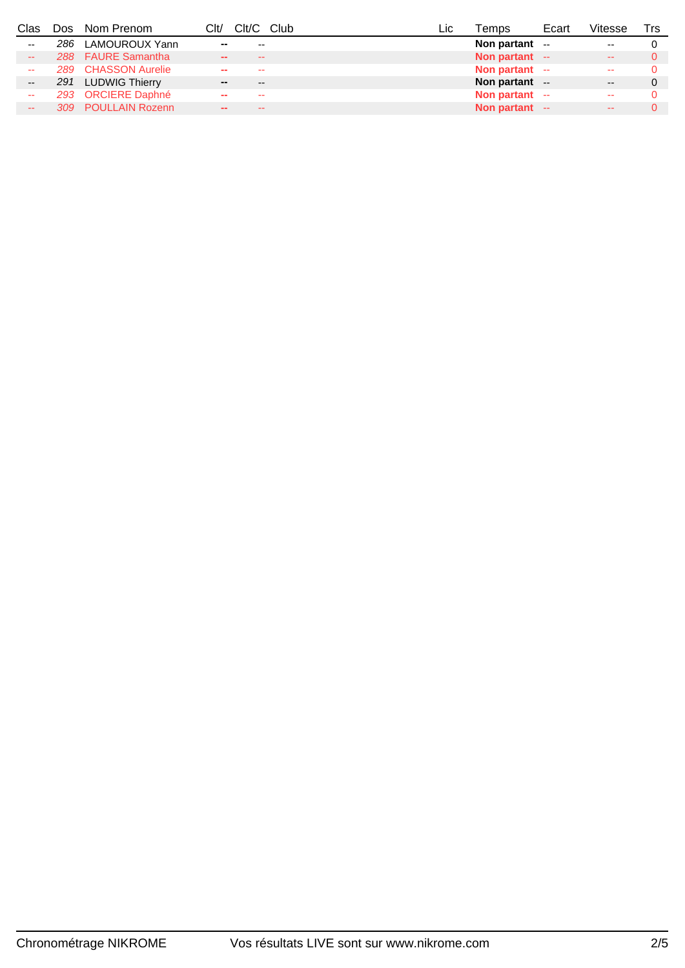| Clas                     | Dos | Nom Prenom          | Clt/   | Clt/C Club | ∟IC | Temps           | Ecart | √itesse                  | Trs |
|--------------------------|-----|---------------------|--------|------------|-----|-----------------|-------|--------------------------|-----|
| $\sim$ $\sim$            |     | 286 LAMOUROUX Yann  | --     | --         |     | Non partant $-$ |       | $\overline{\phantom{a}}$ |     |
| $\sim$ $\sim$            |     | 288 FAURE Samantha  | $\sim$ | $- -$      |     | Non partant --  |       | $\sim$ $\sim$            |     |
| $\sim$                   |     | 289 CHASSON Aurelie |        | --         |     | Non partant --  |       | $\sim$ $\sim$            |     |
| $\overline{\phantom{m}}$ |     | 291 LUDWIG Thierry  | --     | --         |     | Non partant --  |       | $- -$                    |     |
| --                       |     | 293 ORCIERE Daphné  |        | --         |     | Non partant --  |       | $\sim$ $\sim$            |     |
| $- -$                    |     | 309 POULLAIN Rozenn |        | --         |     | Non partant --  |       | $\sim$ $\sim$            |     |
|                          |     |                     |        |            |     |                 |       |                          |     |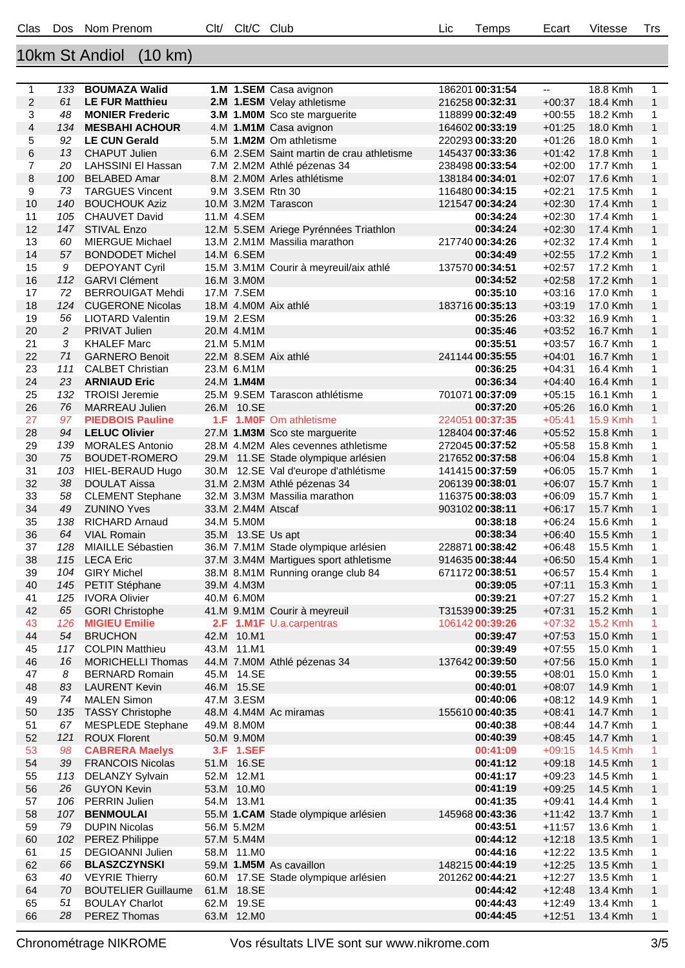## 10km St Andiol (10 km)

| 1              | 133 | <b>BOUMAZA Walid</b>                       |      |                   | 1.M 1.SEM Casa avignon                    | 186201 00:31:54      | ۰.       | 18.8 Kmh | 1            |
|----------------|-----|--------------------------------------------|------|-------------------|-------------------------------------------|----------------------|----------|----------|--------------|
| $\overline{2}$ | 61  | <b>LE FUR Matthieu</b>                     |      |                   | 2.M 1.ESM Velay athletisme                | 216258 00:32:31      | $+00:37$ | 18.4 Kmh | $\mathbf{1}$ |
| 3              | 48  | <b>MONIER Frederic</b>                     |      |                   | 3.M 1.MOM Sco ste marguerite              | 118899 00:32:49      | $+00:55$ | 18.2 Kmh | 1            |
| 4              | 134 | <b>MESBAHI ACHOUR</b>                      |      |                   | 4.M 1.M1M Casa avignon                    | 164602 00:33:19      | $+01:25$ | 18.0 Kmh | $\mathbf{1}$ |
| 5              | 92  | <b>LE CUN Gerald</b>                       |      |                   | 5.M 1.M2M Om athletisme                   | 220293 00:33:20      | $+01:26$ | 18.0 Kmh | 1            |
| 6              | 13  | <b>CHAPUT Julien</b>                       |      |                   | 6.M 2.SEM Saint martin de crau athletisme | 145437 00:33:36      | $+01:42$ | 17.8 Kmh | $\mathbf{1}$ |
| 7              | 20  | LAHSSINI EI Hassan                         |      |                   | 7.M 2.M2M Athlé pézenas 34                | 238498 00:33:54      | $+02:00$ | 17.7 Kmh | 1            |
| 8              | 100 | <b>BELABED Amar</b>                        |      |                   | 8.M 2.M0M Arles athlétisme                | 138184 00:34:01      | $+02:07$ | 17.6 Kmh | $\mathbf{1}$ |
| 9              | 73  | <b>TARGUES Vincent</b>                     |      | 9.M 3.SEM Rtn 30  |                                           | 116480 00:34:15      | $+02:21$ | 17.5 Kmh | 1            |
| 10             | 140 | <b>BOUCHOUK Aziz</b>                       |      |                   | 10.M 3.M2M Tarascon                       | 121547 00:34:24      | $+02:30$ | 17.4 Kmh | $\mathbf{1}$ |
| 11             | 105 | <b>CHAUVET David</b>                       |      | 11.M 4.SEM        |                                           | 00:34:24             | $+02:30$ | 17.4 Kmh | $\mathbf{1}$ |
| 12             | 147 | <b>STIVAL Enzo</b>                         |      |                   | 12.M 5.SEM Ariege Pyrénnées Triathlon     | 00:34:24             | $+02:30$ | 17.4 Kmh | $\mathbf{1}$ |
| 13             | 60  | <b>MIERGUE Michael</b>                     |      |                   | 13.M 2.M1M Massilia marathon              | 217740 00:34:26      | $+02:32$ | 17.4 Kmh | 1            |
| 14             | 57  | <b>BONDODET Michel</b>                     |      | 14.M 6.SEM        |                                           | 00:34:49             | $+02:55$ | 17.2 Kmh | $\mathbf{1}$ |
| 15             | 9   | <b>DEPOYANT Cyril</b>                      |      |                   | 15.M 3.M1M Courir à meyreuil/aix athlé    | 137570 00:34:51      | $+02:57$ | 17.2 Kmh | 1            |
| 16             | 112 | <b>GARVI Clément</b>                       |      | 16.M 3.MOM        |                                           | 00:34:52             | $+02:58$ | 17.2 Kmh | $\mathbf{1}$ |
| 17             | 72  | <b>BERROUIGAT Mehdi</b>                    |      | 17.M 7.SEM        |                                           | 00:35:10             | $+03:16$ | 17.0 Kmh | $\mathbf{1}$ |
| 18             | 124 | <b>CUGERONE Nicolas</b>                    |      |                   | 18.M 4.MOM Aix athlé                      | 183716 00:35:13      | $+03:19$ | 17.0 Kmh | $\mathbf{1}$ |
| 19             | 56  | <b>LIOTARD Valentin</b>                    |      | 19.M 2.ESM        |                                           | 00:35:26             | $+03:32$ | 16.9 Kmh | 1            |
| 20             | 2   |                                            |      | 20.M 4.M1M        |                                           |                      |          |          |              |
|                | 3   | <b>PRIVAT Julien</b><br><b>KHALEF Marc</b> |      | 21.M 5.M1M        |                                           | 00:35:46<br>00:35:51 | $+03:52$ | 16.7 Kmh | $\mathbf{1}$ |
| 21             | 71  |                                            |      |                   |                                           |                      | $+03:57$ | 16.7 Kmh | $\mathbf 1$  |
| 22             |     | <b>GARNERO Benoit</b>                      |      |                   | 22.M 8.SEM Aix athlé                      | 241144 00:35:55      | $+04:01$ | 16.7 Kmh | $\mathbf{1}$ |
| 23             | 111 | <b>CALBET Christian</b>                    |      | 23.M 6.M1M        |                                           | 00:36:25             | $+04:31$ | 16.4 Kmh | 1            |
| 24             | 23  | <b>ARNIAUD Eric</b>                        |      | 24.M 1.M4M        |                                           | 00:36:34             | $+04:40$ | 16.4 Kmh | $\mathbf{1}$ |
| 25             | 132 | <b>TROISI Jeremie</b>                      |      |                   | 25.M 9.SEM Tarascon athlétisme            | 701071 00:37:09      | $+05:15$ | 16.1 Kmh | 1            |
| 26             | 76  | <b>MARREAU Julien</b>                      |      | 26.M 10.SE        |                                           | 00:37:20             | $+05:26$ | 16.0 Kmh | $\mathbf{1}$ |
| 27             | 97  | <b>PIEDBOIS Pauline</b>                    | 1.F. |                   | <b>1.MOF</b> Om athletisme                | 224051 00:37:35      | $+05:41$ | 15.9 Kmh | 1            |
| 28             | 94  | <b>LELUC Olivier</b>                       |      |                   | 27.M 1.M3M Sco ste marguerite             | 128404 00:37:46      | $+05:52$ | 15.8 Kmh | $\mathbf{1}$ |
| 29             | 139 | <b>MORALES Antonio</b>                     |      |                   | 28.M 4.M2M Ales cevennes athletisme       | 272045 00:37:52      | $+05:58$ | 15.8 Kmh | 1            |
| 30             | 75  | BOUDET-ROMERO                              |      |                   | 29.M 11.SE Stade olympique arlésien       | 217652 00:37:58      | $+06:04$ | 15.8 Kmh | $\mathbf{1}$ |
| 31             | 103 | HIEL-BERAUD Hugo                           |      |                   | 30.M 12.SE Val d'europe d'athlétisme      | 141415 00:37:59      | $+06:05$ | 15.7 Kmh | 1            |
| 32             | 38  | <b>DOULAT Aissa</b>                        |      |                   | 31.M 2.M3M Athlé pézenas 34               | 206139 00:38:01      | $+06:07$ | 15.7 Kmh | $\mathbf{1}$ |
| 33             | 58  | <b>CLEMENT Stephane</b>                    |      |                   | 32.M 3.M3M Massilia marathon              | 116375 00:38:03      | $+06:09$ | 15.7 Kmh | $\mathbf 1$  |
| 34             | 49  | <b>ZUNINO Yves</b>                         |      | 33.M 2.M4M Atscaf |                                           | 903102 00:38:11      | $+06:17$ | 15.7 Kmh | $\mathbf{1}$ |
| 35             | 138 | <b>RICHARD Arnaud</b>                      |      | 34.M 5.M0M        |                                           | 00:38:18             | $+06:24$ | 15.6 Kmh | 1            |
| 36             | 64  | <b>VIAL Romain</b>                         |      | 35.M 13.SE Us apt |                                           | 00:38:34             | $+06:40$ | 15.5 Kmh | $\mathbf{1}$ |
| 37             | 128 | <b>MIAILLE Sébastien</b>                   |      |                   | 36.M 7.M1M Stade olympique arlésien       | 228871 00:38:42      | $+06:48$ | 15.5 Kmh | 1            |
| 38             | 115 | <b>LECA Eric</b>                           |      |                   | 37.M 3.M4M Martigues sport athletisme     | 914635 00:38:44      | $+06:50$ | 15.4 Kmh | $\mathbf{1}$ |
| 39             | 104 | <b>GIRY Michel</b>                         |      |                   | 38.M 8.M1M Running orange club 84         | 671172 00:38:51      | $+06:57$ | 15.4 Kmh | 1            |
| 40             | 145 | PETIT Stéphane                             |      | 39.M 4.M3M        |                                           | 00:39:05             | $+07:11$ | 15.3 Kmh | $\mathbf{1}$ |
| 41             | 125 | <b>IVORA Olivier</b>                       |      | 40.M 6.M0M        |                                           | 00:39:21             | $+07:27$ | 15.2 Kmh | 1            |
| 42             | 65  | <b>GORI Christophe</b>                     |      |                   | 41.M 9.M1M Courir à meyreuil              | T3153900:39:25       | $+07:31$ | 15.2 Kmh | $\mathbf{1}$ |
| 43             | 126 | <b>MIGIEU Emilie</b>                       |      |                   | 2.F 1.M1F U.a.carpentras                  | 106142 00:39:26      | $+07:32$ | 15.2 Kmh | 1            |
| 44             | 54  | <b>BRUCHON</b>                             |      | 42.M 10.M1        |                                           | 00:39:47             | $+07:53$ | 15.0 Kmh | $\mathbf{1}$ |
| 45             | 117 | <b>COLPIN Matthieu</b>                     |      | 43.M 11.M1        |                                           | 00:39:49             | $+07:55$ | 15.0 Kmh | 1            |
| 46             | 16  | <b>MORICHELLI Thomas</b>                   |      |                   | 44.M 7.M0M Athlé pézenas 34               | 137642 00:39:50      | $+07:56$ | 15.0 Kmh | $\mathbf{1}$ |
| 47             | 8   | <b>BERNARD Romain</b>                      |      | 45.M 14.SE        |                                           | 00:39:55             | $+08:01$ | 15.0 Kmh | 1            |
| 48             | 83  | <b>LAURENT Kevin</b>                       |      | 46.M 15.SE        |                                           | 00:40:01             | $+08:07$ | 14.9 Kmh | $\mathbf{1}$ |
| 49             | 74  | <b>MALEN Simon</b>                         |      | 47.M 3.ESM        |                                           | 00:40:06             | $+08:12$ | 14.9 Kmh | 1            |
| 50             | 135 | <b>TASSY Christophe</b>                    |      |                   | 48.M 4.M4M Ac miramas                     | 155610 00:40:35      | $+08:41$ | 14.7 Kmh | $\mathbf{1}$ |
| 51             | 67  | <b>MESPLEDE Stephane</b>                   |      | 49.M 8.MOM        |                                           | 00:40:38             | $+08:44$ | 14.7 Kmh | 1            |
| 52             | 121 | <b>ROUX Florent</b>                        |      | 50.M 9.M0M        |                                           | 00:40:39             | $+08:45$ | 14.7 Kmh | $\mathbf{1}$ |
| 53             | 98  | <b>CABRERA Maelys</b>                      |      | 3.F 1.SEF         |                                           | 00:41:09             | $+09:15$ | 14.5 Kmh | 1            |
| 54             | 39  | <b>FRANCOIS Nicolas</b>                    |      | 51.M 16.SE        |                                           | 00:41:12             | $+09:18$ | 14.5 Kmh | $\mathbf{1}$ |
| 55             | 113 | <b>DELANZY Sylvain</b>                     |      | 52.M 12.M1        |                                           | 00:41:17             | $+09:23$ | 14.5 Kmh | $\mathbf{1}$ |
| 56             | 26  | <b>GUYON Kevin</b>                         |      | 53.M 10.M0        |                                           | 00:41:19             | $+09:25$ | 14.5 Kmh | $\mathbf{1}$ |
| 57             | 106 | PERRIN Julien                              |      | 54.M 13.M1        |                                           | 00:41:35             | $+09:41$ | 14.4 Kmh | 1            |
| 58             | 107 | <b>BENMOULAI</b>                           |      |                   | 55.M 1.CAM Stade olympique arlésien       | 145968 00:43:36      | $+11:42$ | 13.7 Kmh | $\mathbf{1}$ |
| 59             | 79  | <b>DUPIN Nicolas</b>                       |      | 56.M 5.M2M        |                                           | 00:43:51             | $+11:57$ | 13.6 Kmh | $\mathbf{1}$ |
| 60             | 102 | <b>PEREZ Philippe</b>                      |      | 57.M 5.M4M        |                                           | 00:44:12             | $+12:18$ | 13.5 Kmh | $\mathbf{1}$ |
| 61             | 15  | <b>DEGIOANNI Julien</b>                    |      | 58.M 11.MO        |                                           | 00:44:16             | $+12:22$ | 13.5 Kmh | $\mathbf{1}$ |
| 62             | 66  | <b>BLASZCZYNSKI</b>                        |      |                   | 59.M 1.M5M As cavaillon                   | 148215 00:44:19      | $+12:25$ | 13.5 Kmh | $\mathbf{1}$ |
| 63             | 40  | <b>VEYRIE Thierry</b>                      |      |                   | 60.M 17.SE Stade olympique arlésien       | 201262 00:44:21      | $+12:27$ | 13.5 Kmh | 1            |
| 64             | 70  | <b>BOUTELIER Guillaume</b>                 |      | 61.M 18.SE        |                                           | 00:44:42             | $+12:48$ | 13.4 Kmh | $\mathbf{1}$ |
| 65             | 51  | <b>BOULAY Charlot</b>                      |      | 62.M 19.SE        |                                           | 00:44:43             | $+12:49$ | 13.4 Kmh | 1            |
| 66             | 28  | <b>PEREZ Thomas</b>                        |      | 63.M 12.M0        |                                           | 00:44:45             | $+12:51$ | 13.4 Kmh | $\mathbf{1}$ |
|                |     |                                            |      |                   |                                           |                      |          |          |              |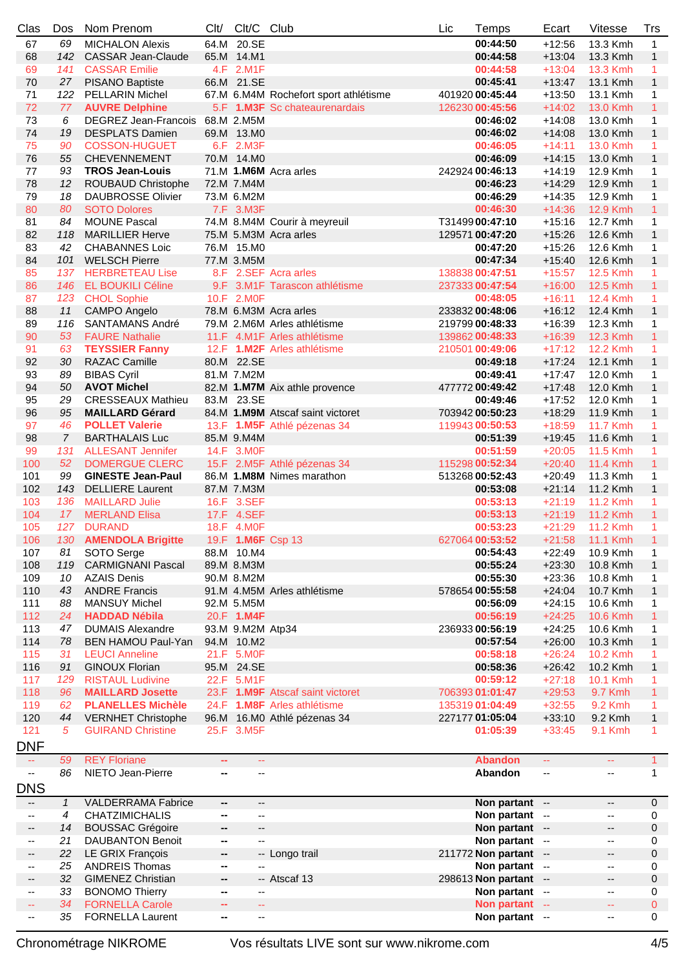| Clas                     | Dos            | Nom Prenom                      | Clt/                     | Clt/C                    | Club                                  | Lic | Temps                 | Ecart                    | <b>Vitesse</b>              | <b>Trs</b>     |
|--------------------------|----------------|---------------------------------|--------------------------|--------------------------|---------------------------------------|-----|-----------------------|--------------------------|-----------------------------|----------------|
| 67                       | 69             | <b>MICHALON Alexis</b>          |                          | 64.M 20.SE               |                                       |     | 00:44:50              | $+12:56$                 | 13.3 Kmh                    | $\mathbf{1}$   |
| 68                       | 142            | <b>CASSAR Jean-Claude</b>       |                          | 65.M 14.M1               |                                       |     | 00:44:58              | $+13:04$                 | 13.3 Kmh                    | $\mathbf{1}$   |
| 69                       | 141            | <b>CASSAR Emilie</b>            |                          | 4.F 2.M1F                |                                       |     | 00:44:58              | $+13:04$                 | 13.3 Kmh                    | 1              |
| 70                       | 27             | PISANO Baptiste                 |                          | 66.M 21.SE               |                                       |     | 00:45:41              | $+13:47$                 | 13.1 Kmh                    | $\mathbf{1}$   |
| 71                       | 122            | <b>PELLARIN Michel</b>          |                          |                          | 67.M 6.M4M Rochefort sport athlétisme |     | 401920 00:45:44       | $+13:50$                 | 13.1 Kmh                    | 1              |
| 72                       | 77             | <b>AUVRE Delphine</b>           |                          |                          | 5.F 1.M3F Sc chateaurenardais         |     | 126230 00:45:56       | $+14:02$                 | 13.0 Kmh                    | 1              |
| 73                       | 6              | DEGREZ Jean-Francois 68.M 2.M5M |                          |                          |                                       |     | 00:46:02              | $+14:08$                 | 13.0 Kmh                    | 1              |
|                          | 19             |                                 |                          |                          |                                       |     |                       |                          |                             |                |
| 74                       |                | <b>DESPLATS Damien</b>          |                          | 69.M 13.MO               |                                       |     | 00:46:02              | $+14:08$                 | 13.0 Kmh                    | $\mathbf{1}$   |
| 75                       | 90             | <b>COSSON-HUGUET</b>            |                          | 6.F 2.M3F                |                                       |     | 00:46:05              | $+14:11$                 | 13.0 Kmh                    | 1              |
| 76                       | 55             | <b>CHEVENNEMENT</b>             |                          | 70.M 14.M0               |                                       |     | 00:46:09              | $+14:15$                 | 13.0 Kmh                    | $\mathbf{1}$   |
| 77                       | 93             | <b>TROS Jean-Louis</b>          |                          |                          | 71.M 1.M6M Acra arles                 |     | 242924 00:46:13       | $+14:19$                 | 12.9 Kmh                    | 1              |
| 78                       | 12             | ROUBAUD Christophe              |                          | 72.M 7.M4M               |                                       |     | 00:46:23              | $+14:29$                 | 12.9 Kmh                    | $\mathbf{1}$   |
| 79                       | 18             | <b>DAUBROSSE Olivier</b>        |                          | 73.M 6.M2M               |                                       |     | 00:46:29              | $+14:35$                 | 12.9 Kmh                    | 1              |
| 80                       | 80             | <b>SOTO Dolores</b>             |                          | 7.F 3.M3F                |                                       |     | 00:46:30              | $+14:36$                 | <b>12.9 Kmh</b>             | $\mathbf{1}$   |
| 81                       | 84             | <b>MOUNE Pascal</b>             |                          |                          | 74.M 8.M4M Courir à meyreuil          |     | T3149900:47:10        | $+15:16$                 | 12.7 Kmh                    | 1              |
| 82                       | 118            | <b>MARILLIER Herve</b>          |                          |                          | 75.M 5.M3M Acra arles                 |     | 129571 00:47:20       | $+15:26$                 | 12.6 Kmh                    | $\mathbf{1}$   |
| 83                       | 42             | <b>CHABANNES Loic</b>           |                          | 76.M 15.MO               |                                       |     | 00:47:20              | $+15:26$                 | 12.6 Kmh                    | 1              |
| 84                       | 101            | <b>WELSCH Pierre</b>            |                          | 77.M 3.M5M               |                                       |     | 00:47:34              | $+15:40$                 | 12.6 Kmh                    | $\mathbf{1}$   |
| 85                       |                | 137 HERBRETEAU Lise             |                          |                          | 8.F 2.SEF Acra arles                  |     | 138838 00:47:51       | $+15:57$                 | 12.5 Kmh                    | 1              |
| 86                       | 146            | <b>EL BOUKILI Céline</b>        |                          |                          | 9.F 3.M1F Tarascon athlétisme         |     | 237333 00:47:54       | $+16:00$                 | 12.5 Kmh                    | $\mathbf{1}$   |
| 87                       |                | 123 CHOL Sophie                 |                          | 10.F 2.M0F               |                                       |     | 00:48:05              | $+16:11$                 | 12.4 Kmh                    | $\mathbf{1}$   |
| 88                       | 11             | <b>CAMPO Angelo</b>             |                          |                          | 78.M 6.M3M Acra arles                 |     | 233832 00:48:06       | $+16:12$                 | 12.4 Kmh                    | $\mathbf{1}$   |
| 89                       | 116            | <b>SANTAMANS André</b>          |                          |                          | 79.M 2.M6M Arles athlétisme           |     | 219799 00:48:33       | $+16:39$                 | 12.3 Kmh                    | 1              |
| 90                       | 53             | <b>FAURE Nathalie</b>           |                          |                          | 11.F 4.M1F Arles athlétisme           |     |                       | $+16:39$                 | <b>12.3 Kmh</b>             | $\mathbf{1}$   |
|                          |                |                                 |                          |                          |                                       |     | 139862 00:48:33       |                          |                             |                |
| 91                       | 63             | <b>TEYSSIER Fanny</b>           |                          |                          | 12.F 1.M2F Arles athlétisme           |     | 210501 00:49:06       | $+17:12$                 | <b>12.2 Kmh</b>             | 1              |
| 92                       | 30             | <b>RAZAC Camille</b>            |                          | 80.M 22.SE               |                                       |     | 00:49:18              | $+17:24$                 | 12.1 Kmh                    | $\mathbf{1}$   |
| 93                       | 89             | <b>BIBAS Cyril</b>              |                          | 81.M 7.M2M               |                                       |     | 00:49:41              | $+17:47$                 | 12.0 Kmh                    | 1              |
| 94                       | 50             | <b>AVOT Michel</b>              |                          |                          | 82.M 1.M7M Aix athle provence         |     | 477772 00:49:42       | $+17:48$                 | 12.0 Kmh                    | $\mathbf{1}$   |
| 95                       | 29             | <b>CRESSEAUX Mathieu</b>        |                          | 83.M 23.SE               |                                       |     | 00:49:46              | $+17:52$                 | 12.0 Kmh                    | 1              |
| 96                       | 95             | <b>MAILLARD Gérard</b>          |                          |                          | 84.M 1.M9M Atscaf saint victoret      |     | 703942 00:50:23       | $+18:29$                 | 11.9 Kmh                    | $\mathbf{1}$   |
| 97                       | 46             | <b>POLLET Valerie</b>           |                          |                          | 13.F 1.M5F Athlé pézenas 34           |     | 119943 00:50:53       | $+18:59$                 | 11.7 Kmh                    | 1              |
| 98                       | $\overline{7}$ | <b>BARTHALAIS Luc</b>           |                          | 85.M 9.M4M               |                                       |     | 00:51:39              | $+19:45$                 | 11.6 Kmh                    | $\mathbf{1}$   |
| 99                       | 131            | <b>ALLESANT Jennifer</b>        |                          | 14.F 3.M0F               |                                       |     | 00:51:59              | $+20:05$                 | 11.5 Kmh                    | 1              |
| 100                      | 52             | <b>DOMERGUE CLERC</b>           |                          |                          | 15.F 2.M5F Athlé pézenas 34           |     | 115298 00:52:34       | $+20:40$                 | 11.4 Kmh                    | $\mathbf{1}$   |
| 101                      | 99             | <b>GINESTE Jean-Paul</b>        |                          |                          | 86.M 1.M8M Nimes marathon             |     | 513268 00:52:43       | $+20:49$                 | 11.3 Kmh                    | 1              |
| 102                      | 143            | <b>DELLIERE Laurent</b>         |                          | 87.M 7.M3M               |                                       |     | 00:53:08              | $+21:14$                 | 11.2 Kmh                    | $\mathbf{1}$   |
| 103                      | 136            | <b>MAILLARD Julie</b>           |                          | 16.F 3.SEF               |                                       |     | 00:53:13              | $+21:19$                 | 11.2 Kmh                    | 1              |
| 104                      | 17             | <b>MERLAND Elisa</b>            |                          | 17.F 4.SEF               |                                       |     | 00:53:13              | $+21:19$                 | <b>11.2 Kmh</b>             | $\mathbf{1}$   |
|                          |                | 127 DURAND                      |                          |                          |                                       |     | 00:53:23              |                          |                             |                |
| 105                      |                |                                 |                          | 18.F 4.M0F               |                                       |     |                       | $+21:29$                 | 11.2 Kmh                    | $\mathbf{1}$   |
| 106                      |                | 130 AMENDOLA Brigitte           |                          |                          | 19.F 1.M6F Csp 13                     |     | 627064 00:53:52       |                          | +21:58 11.1 Kmh             | $\overline{1}$ |
| 107                      | 81             | SOTO Serge                      |                          | 88.M 10.M4               |                                       |     | 00:54:43              | $+22:49$                 | 10.9 Kmh                    | 1              |
| 108                      | 119            | <b>CARMIGNANI Pascal</b>        |                          | 89.M 8.M3M               |                                       |     | 00:55:24              | $+23:30$                 | 10.8 Kmh                    | $\mathbf{1}$   |
| 109                      | 10             | <b>AZAIS Denis</b>              |                          | 90.M 8.M2M               |                                       |     | 00:55:30              | $+23:36$                 | 10.8 Kmh                    | 1              |
| 110                      | 43             | <b>ANDRE Francis</b>            |                          |                          | 91.M 4.M5M Arles athlétisme           |     | 578654 00:55:58       | $+24:04$                 | 10.7 Kmh                    | $\mathbf{1}$   |
| 111                      | 88             | <b>MANSUY Michel</b>            |                          | 92.M 5.M5M               |                                       |     | 00:56:09              | $+24:15$                 | 10.6 Kmh                    | 1              |
| 112                      | 24             | <b>HADDAD Nébila</b>            |                          | 20.F 1.M4F               |                                       |     | 00:56:19              | $+24:25$                 | <b>10.6 Kmh</b>             | $\mathbf{1}$   |
| 113                      | 47             | <b>DUMAIS Alexandre</b>         |                          | 93.M 9.M2M Atp34         |                                       |     | 236933 00:56:19       | $+24:25$                 | 10.6 Kmh                    | 1              |
| 114                      | 78             | BEN HAMOU Paul-Yan              |                          | 94.M 10.M2               |                                       |     | 00:57:54              | $+26:00$                 | 10.3 Kmh                    | $\mathbf{1}$   |
| 115                      | 31             | <b>LEUCI Anneline</b>           |                          | 21.F 5.M0F               |                                       |     | 00:58:18              | $+26:24$                 | <b>10.2 Kmh</b>             | 1              |
| 116                      | 91             | <b>GINOUX Florian</b>           |                          | 95.M 24.SE               |                                       |     | 00:58:36              | $+26:42$                 | 10.2 Kmh                    | 1              |
| 117                      | 129            | <b>RISTAUL Ludivine</b>         |                          | 22.F 5.M1F               |                                       |     | 00:59:12              | $+27:18$                 | 10.1 Kmh                    | 1              |
| 118                      | 96             | <b>MAILLARD Josette</b>         |                          |                          | 23.F 1.M9F Atscaf saint victoret      |     | 706393 01:01:47       | $+29:53$                 | 9.7 Kmh                     | $\mathbf{1}$   |
| 119                      | 62             | <b>PLANELLES Michèle</b>        |                          |                          | 24.F 1.M8F Arles athlétisme           |     | 135319 01:04:49       | $+32:55$                 | 9.2 Kmh                     | 1              |
| 120                      | 44             | <b>VERNHET Christophe</b>       |                          |                          | 96.M 16.M0 Athlé pézenas 34           |     | 227177 01:05:04       | $+33:10$                 | 9.2 Kmh                     | $\mathbf{1}$   |
| 121                      | 5              | <b>GUIRAND Christine</b>        |                          | 25.F 3.M5F               |                                       |     | 01:05:39              |                          | 9.1 Kmh                     |                |
|                          |                |                                 |                          |                          |                                       |     |                       | $+33:45$                 |                             | 1              |
| DNF                      |                |                                 |                          |                          |                                       |     |                       |                          |                             |                |
| ÷.                       | 59             | <b>REY Floriane</b>             | $\mathbf{m}$             | ÷.                       |                                       |     | <b>Abandon</b>        | ш.                       | $\mathbb{Z} \to \mathbb{R}$ | $\mathbf{1}$   |
| $\overline{\phantom{a}}$ | 86             | NIETO Jean-Pierre               | --                       | --                       |                                       |     | Abandon               | $\overline{\phantom{a}}$ | --                          | 1              |
| <b>DNS</b>               |                |                                 |                          |                          |                                       |     |                       |                          |                             |                |
| $-$                      | 1              | <b>VALDERRAMA Fabrice</b>       | −−                       | --                       |                                       |     | Non partant --        |                          | --                          | $\mathbf 0$    |
| --                       | 4              | <b>CHATZIMICHALIS</b>           | -−                       | --                       |                                       |     | Non partant --        |                          | --                          | 0              |
|                          | 14             |                                 |                          |                          |                                       |     |                       |                          |                             |                |
| $\overline{\phantom{a}}$ |                | <b>BOUSSAC Grégoire</b>         | --                       | ۰.                       |                                       |     | Non partant --        |                          | --                          | 0              |
| $\overline{\phantom{a}}$ | 21             | <b>DAUBANTON Benoit</b>         | н.                       | $\overline{\phantom{a}}$ |                                       |     | Non partant --        |                          | --                          | 0              |
| --                       | 22             | LE GRIX François                | --                       |                          | -- Longo trail                        |     | 211772 Non partant -- |                          | --                          | 0              |
| $\overline{\phantom{a}}$ | 25             | <b>ANDREIS Thomas</b>           | н.                       |                          |                                       |     | Non partant --        |                          | --                          | 0              |
| ۰.                       | 32             | <b>GIMENEZ Christian</b>        | −−                       |                          | -- Atscaf 13                          |     | 298613 Non partant -- |                          | --                          | 0              |
| ۰.                       | 33             | <b>BONOMO Thierry</b>           | ⊷                        | --                       |                                       |     | Non partant --        |                          | --                          | 0              |
| 44                       | 34             | <b>FORNELLA Carole</b>          | $\overline{\phantom{a}}$ | 44                       |                                       |     | Non partant --        |                          | 44                          | $\overline{0}$ |
| --                       | 35             | <b>FORNELLA Laurent</b>         | ⊷                        | ۰.                       |                                       |     | Non partant --        |                          | --                          | 0              |